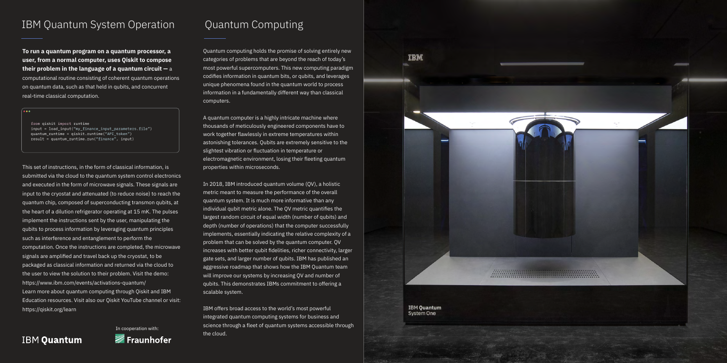Quantum computing holds the promise of solving entirely new categories of problems that are beyond the reach of today's most powerful supercomputers. This new computing paradigm codifies information in quantum bits, or qubits, and leverages unique phenomena found in the quantum world to process information in a fundamentally different way than classical computers.

A quantum computer is a highly intricate machine where thousands of meticulously engineered components have to work together flawlessly in extreme temperatures within astonishing tolerances. Qubits are extremely sensitive to the slightest vibration or fluctuation in temperature or electromagnetic environment, losing their fleeting quantum properties within microseconds.

In 2018, IBM introduced quantum volume (QV), a holistic metric meant to measure the performance of the overall quantum system. It is much more informative than any individual qubit metric alone. The QV metric quantifies the largest random circuit of equal width (number of qubits) and depth (number of operations) that the computer successfully implements, essentially indicating the relative complexity of a problem that can be solved by the quantum computer. QV increases with better qubit fidelities, richer connectivity, larger gate sets, and larger number of qubits. IBM has published an aggressive roadmap that shows how the IBM Quantum team will improve our systems by increasing QV and number of qubits. This demonstrates IBMs commitment to offering a scalable system.

IBM offers broad access to the world's most powerful integrated quantum computing systems for business and science through a fleet of quantum systems accessible through the cloud.

**IBM Quantum System One** 

**TBM** 

## **IBM Quantum**

## IBM Quantum System Operation Quantum Computing

**To run a quantum program on a quantum processor, a user, from a normal computer, uses Qiskit to compose their problem in the language of a quantum circuit —** a computational routine consisting of coherent quantum operations on quantum data, such as that held in qubits, and concurrent real-time classical computation.

 $\ddot{\bullet}\bullet\bullet$ 

from qiskit import runtime input = load\_input("my\_finance\_input\_parameters.file") quantum\_runtime = qiskit.runtime("API\_token")  $result = quantum runtime.run("finance", input)$ 

This set of instructions, in the form of classical information, is submitted via the cloud to the quantum system control electronics and executed in the form of microwave signals. These signals are input to the cryostat and attenuated (to reduce noise) to reach the quantum chip, composed of superconducting transmon qubits, at the heart of a dilution refrigerator operating at 15 mK. The pulses implement the instructions sent by the user, manipulating the qubits to process information by leveraging quantum principles such as interference and entanglement to perform the computation. Once the instructions are completed, the microwave signals are amplified and travel back up the cryostat, to be packaged as classical information and returned via the cloud to the user to view the solution to their problem. Visit the demo: https://www.ibm.com/events/activations-quantum/ Learn more about quantum computing through Qiskit and IBM Education resources. Visit also our Qiskit YouTube channel or visit: https://qiskit.org/learn